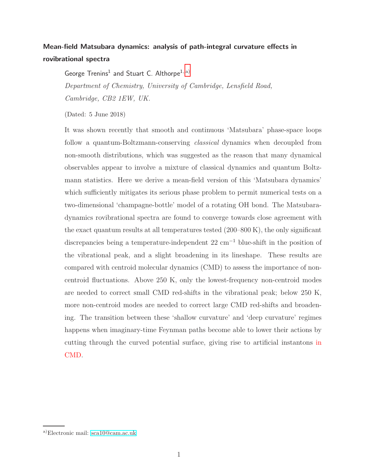# Mean-field Matsubara dynamics: analysis of path-integral curvature effects in rovibrational spectra

George Trenins<sup>1</sup> and Stuart C. Althorpe<sup>1, [a\)](#page-0-0)</sup>

Department of Chemistry, University of Cambridge, Lensfield Road, Cambridge, CB2 1EW, UK.

(Dated: 5 June 2018)

It was shown recently that smooth and continuous 'Matsubara' phase-space loops follow a quantum-Boltzmann-conserving classical dynamics when decoupled from non-smooth distributions, which was suggested as the reason that many dynamical observables appear to involve a mixture of classical dynamics and quantum Boltzmann statistics. Here we derive a mean-field version of this 'Matsubara dynamics' which sufficiently mitigates its serious phase problem to permit numerical tests on a two-dimensional 'champagne-bottle' model of a rotating OH bond. The Matsubaradynamics rovibrational spectra are found to converge towards close agreement with the exact quantum results at all temperatures tested (200–800 K), the only significant discrepancies being a temperature-independent 22 cm<sup>−</sup><sup>1</sup> blue-shift in the position of the vibrational peak, and a slight broadening in its lineshape. These results are compared with centroid molecular dynamics (CMD) to assess the importance of noncentroid fluctuations. Above 250 K, only the lowest-frequency non-centroid modes are needed to correct small CMD red-shifts in the vibrational peak; below 250 K, more non-centroid modes are needed to correct large CMD red-shifts and broadening. The transition between these 'shallow curvature' and 'deep curvature' regimes happens when imaginary-time Feynman paths become able to lower their actions by cutting through the curved potential surface, giving rise to artificial instantons in CMD.

<span id="page-0-0"></span>a)Electronic mail: [sca10@cam.ac.uk](mailto:sca10@cam.ac.uk)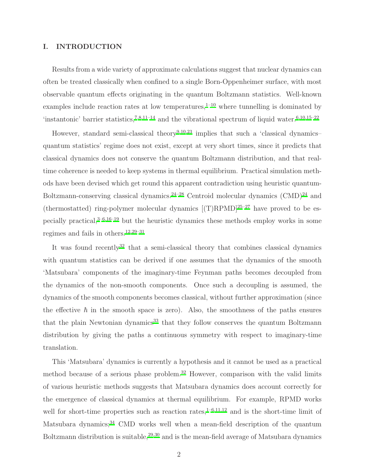### I. INTRODUCTION

Results from a wide variety of approximate calculations suggest that nuclear dynamics can often be treated classically when confined to a single Born-Oppenheimer surface, with most observable quantum effects originating in the quantum Boltzmann statistics. Well-known examples include reaction rates at low temperatures, $1-10$  $1-10$  where tunnelling is dominated by 'instantonic' barrier statistics,<sup>[7](#page-19-2)[,8](#page-19-3)[,11](#page-19-4)-14</sup> and the vibrational spectrum of liquid water.<sup>[6](#page-19-6)[,10](#page-19-1)[,15](#page-19-7)-22</sup>

However, standard semi-classical theory<sup>[9](#page-19-9)[,10](#page-19-1)[,23](#page-19-10)</sup> implies that such a 'classical dynamicsquantum statistics' regime does not exist, except at very short times, since it predicts that classical dynamics does not conserve the quantum Boltzmann distribution, and that realtime coherence is needed to keep systems in thermal equilibrium. Practical simulation methods have been devised which get round this apparent contradiction using heuristic quantum-Boltzmann-conserving classical dynamics.<sup>[24](#page-20-0)[–28](#page-20-1)</sup> Centroid molecular dynamics  $(CMD)^{24}$  and (thermostatted) ring-polymer molecular dynamics  $[(T)RPMD]^{25-27}$  $[(T)RPMD]^{25-27}$  $[(T)RPMD]^{25-27}$  have proved to be especially practical, $3-6,16-19$  $3-6,16-19$  $3-6,16-19$  $3-6,16-19$  but the heuristic dynamics these methods employ works in some regimes and fails in others.[12](#page-19-14)[,29](#page-20-4)[–31](#page-20-5)

It was found recently<sup>[32](#page-20-6)</sup> that a semi-classical theory that combines classical dynamics with quantum statistics can be derived if one assumes that the dynamics of the smooth 'Matsubara' components of the imaginary-time Feynman paths becomes decoupled from the dynamics of the non-smooth components. Once such a decoupling is assumed, the dynamics of the smooth components becomes classical, without further approximation (since the effective  $\hbar$  in the smooth space is zero). Also, the smoothness of the paths ensures that the plain Newtonian dynamics<sup>[33](#page-20-7)</sup> that they follow conserves the quantum Boltzmann distribution by giving the paths a continuous symmetry with respect to imaginary-time translation.

This 'Matsubara' dynamics is currently a hypothesis and it cannot be used as a practical method because of a serious phase problem.<sup>[32](#page-20-6)</sup> However, comparison with the valid limits of various heuristic methods suggests that Matsubara dynamics does account correctly for the emergence of classical dynamics at thermal equilibrium. For example, RPMD works well for short-time properties such as reaction rates, $1-6,11,12$  $1-6,11,12$  $1-6,11,12$  $1-6,11,12$  and is the short-time limit of Matsubara dynamics;<sup>[34](#page-20-8)</sup> CMD works well when a mean-field description of the quantum Boltzmann distribution is suitable, $29,30$  $29,30$  and is the mean-field average of Matsubara dynamics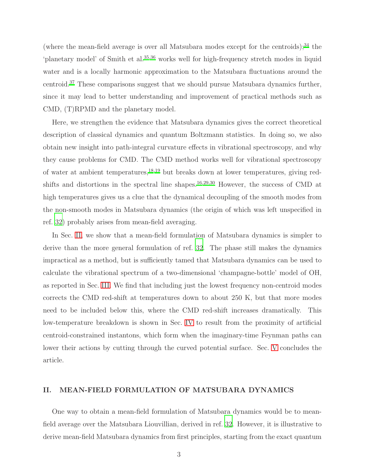(where the mean-field average is over all Matsubara modes except for the centroids); $34$  the 'planetary model' of Smith et al.[35](#page-20-10)[,36](#page-20-11) works well for high-frequency stretch modes in liquid water and is a locally harmonic approximation to the Matsubara fluctuations around the centroid.[37](#page-20-12) These comparisons suggest that we should pursue Matsubara dynamics further, since it may lead to better understanding and improvement of practical methods such as CMD, (T)RPMD and the planetary model.

Here, we strengthen the evidence that Matsubara dynamics gives the correct theoretical description of classical dynamics and quantum Boltzmann statistics. In doing so, we also obtain new insight into path-integral curvature effects in vibrational spectroscopy, and why they cause problems for CMD. The CMD method works well for vibrational spectroscopy of water at ambient temperatures, $18,19$  $18,19$  but breaks down at lower temperatures, giving redshifts and distortions in the spectral line shapes.[16](#page-19-12)[,29](#page-20-4)[,30](#page-20-9) However, the success of CMD at high temperatures gives us a clue that the dynamical decoupling of the smooth modes from the non-smooth modes in Matsubara dynamics (the origin of which was left unspecified in ref. [32](#page-20-6)) probably arises from mean-field averaging.

In Sec. [II,](#page-2-0) we show that a mean-field formulation of Matsubara dynamics is simpler to derive than the more general formulation of ref. [32.](#page-20-6) The phase still makes the dynamics impractical as a method, but is sufficiently tamed that Matsubara dynamics can be used to calculate the vibrational spectrum of a two-dimensional 'champagne-bottle' model of OH, as reported in Sec. [III.](#page-6-0) We find that including just the lowest frequency non-centroid modes corrects the CMD red-shift at temperatures down to about 250 K, but that more modes need to be included below this, where the CMD red-shift increases dramatically. This low-temperature breakdown is shown in Sec. [IV](#page-10-0) to result from the proximity of artificial centroid-constrained instantons, which form when the imaginary-time Feynman paths can lower their actions by cutting through the curved potential surface. Sec. [V](#page-15-0) concludes the article.

## <span id="page-2-0"></span>II. MEAN-FIELD FORMULATION OF MATSUBARA DYNAMICS

One way to obtain a mean-field formulation of Matsubara dynamics would be to meanfield average over the Matsubara Liouvillian, derived in ref. [32.](#page-20-6) However, it is illustrative to derive mean-field Matsubara dynamics from first principles, starting from the exact quantum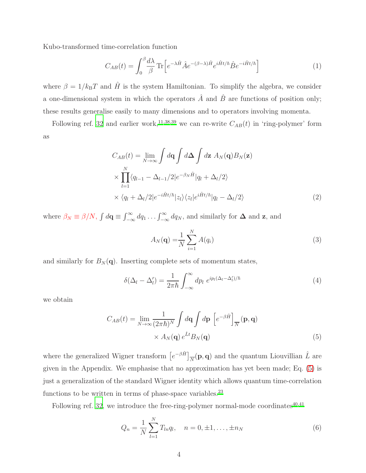Kubo-transformed time-correlation function

<span id="page-3-1"></span>
$$
C_{AB}(t) = \int_0^\beta \frac{d\lambda}{\beta} \operatorname{Tr} \left[ e^{-\lambda \hat{H}} \hat{A} e^{-(\beta - \lambda)\hat{H}} e^{i\hat{H}t/\hbar} \hat{B} e^{-i\hat{H}t/\hbar} \right]
$$
(1)

where  $\beta = 1/k_BT$  and  $\hat{H}$  is the system Hamiltonian. To simplify the algebra, we consider a one-dimensional system in which the operators  $\hat{A}$  and  $\hat{B}$  are functions of position only; these results generalise easily to many dimensions and to operators involving momenta.

Following ref. [32](#page-20-6) and earlier work,<sup>[11](#page-19-4)[,38](#page-20-13)[,39](#page-20-14)</sup> we can re-write  $C_{AB}(t)$  in 'ring-polymer' form as

$$
C_{AB}(t) = \lim_{N \to \infty} \int d\mathbf{q} \int d\mathbf{\Delta} \int d\mathbf{z} \, A_N(\mathbf{q}) B_N(\mathbf{z})
$$
  
\n
$$
\times \prod_{l=1}^N \langle q_{l-1} - \Delta_{l-1}/2 | e^{-\beta_N \hat{H}} | q_l + \Delta_l/2 \rangle
$$
  
\n
$$
\times \langle q_l + \Delta_l/2 | e^{-i\hat{H}t/\hbar} | z_l \rangle \langle z_l | e^{i\hat{H}t/\hbar} | q_l - \Delta_l/2 \rangle
$$
\n(2)

where  $\beta_N \equiv \beta/N$ ,  $\int d\mathbf{q} \equiv \int_{-\infty}^{\infty} dq_1 \dots \int_{-\infty}^{\infty} dq_N$ , and similarly for  $\Delta$  and z, and

<span id="page-3-2"></span><span id="page-3-0"></span>
$$
A_N(\mathbf{q}) = \frac{1}{N} \sum_{i=1}^N A(q_i)
$$
\n(3)

and similarly for  $B_N(\mathbf{q})$ . Inserting complete sets of momentum states,

$$
\delta(\Delta_l - \Delta_l') = \frac{1}{2\pi\hbar} \int_{-\infty}^{\infty} dp_l \ e^{ip_l(\Delta_l - \Delta_l')/\hbar} \tag{4}
$$

we obtain

$$
C_{AB}(t) = \lim_{N \to \infty} \frac{1}{(2\pi\hbar)^N} \int d\mathbf{q} \int d\mathbf{p} \left[ e^{-\beta \hat{H}} \right]_N (\mathbf{p}, \mathbf{q})
$$

$$
\times A_N(\mathbf{q}) e^{\hat{L}t} B_N(\mathbf{q})
$$
(5)

where the generalized Wigner transform  $\left[e^{-\beta \hat{H}}\right]_{\overline{N}}(\mathbf{p},\mathbf{q})$  and the quantum Liouvillian  $\hat{L}$  are given in the Appendix. We emphasise that no approximation has yet been made; Eq. [\(5\)](#page-3-0) is just a generalization of the standard Wigner identity which allows quantum time-correlation functions to be written in terms of phase-space variables.<sup>[23](#page-19-10)</sup>

Following ref. [32,](#page-20-6) we introduce the free-ring-polymer normal-mode coordinates<sup>[40](#page-20-15)[,41](#page-20-16)</sup>

$$
Q_n = \frac{1}{N} \sum_{l=1}^{N} T_{ln} q_l, \quad n = 0, \pm 1, \dots, \pm n_N
$$
 (6)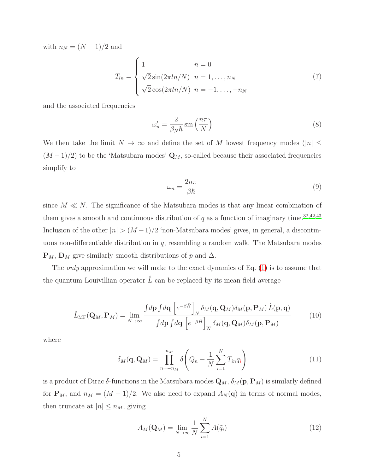with  $n_N = (N-1)/2$  and

$$
T_{ln} = \begin{cases} 1 & n = 0 \\ \sqrt{2} \sin(2\pi ln/N) & n = 1, ..., n_N \\ \sqrt{2} \cos(2\pi ln/N) & n = -1, ..., -n_N \end{cases}
$$
(7)

and the associated frequencies

$$
\omega_n' = \frac{2}{\beta_N \hbar} \sin\left(\frac{n\pi}{N}\right) \tag{8}
$$

We then take the limit  $N \to \infty$  and define the set of M lowest frequency modes (|n|  $\leq$  $(M-1)/2$ ) to be the 'Matsubara modes'  $\mathbf{Q}_M$ , so-called because their associated frequencies simplify to

<span id="page-4-1"></span><span id="page-4-0"></span>
$$
\omega_n = \frac{2n\pi}{\beta\hbar} \tag{9}
$$

since  $M \ll N$ . The significance of the Matsubara modes is that any linear combination of them gives a smooth and continuous distribution of  $q$  as a function of imaginary time.<sup>[32](#page-20-6)[,42](#page-20-17)[,43](#page-20-18)</sup> Inclusion of the other  $|n| > (M-1)/2$  'non-Matsubara modes' gives, in general, a discontinuous non-differentiable distribution in  $q$ , resembling a random walk. The Matsubara modes  $\mathbf{P}_M$ ,  $\mathbf{D}_M$  give similarly smooth distributions of p and  $\Delta$ .

The *only* approximation we will make to the exact dynamics of Eq. [\(1\)](#page-3-1) is to assume that the quantum Louivillian operator  $\hat{L}$  can be replaced by its mean-field average

$$
\hat{L}_{\mathrm{MF}}(\mathbf{Q}_M, \mathbf{P}_M) = \lim_{N \to \infty} \frac{\int d\mathbf{p} \int d\mathbf{q} \left[ e^{-\beta \hat{H}} \right]_{\overline{N}} \delta_M(\mathbf{q}, \mathbf{Q}_M) \delta_M(\mathbf{p}, \mathbf{P}_M) \hat{L}(\mathbf{p}, \mathbf{q})}{\int d\mathbf{p} \int d\mathbf{q} \left[ e^{-\beta \hat{H}} \right]_{\overline{N}} \delta_M(\mathbf{q}, \mathbf{Q}_M) \delta_M(\mathbf{p}, \mathbf{P}_M)}
$$
(10)

where

$$
\delta_M(\mathbf{q}, \mathbf{Q}_M) = \prod_{n=-n_M}^{n_M} \delta\left(Q_n - \frac{1}{N} \sum_{i=1}^N T_{in} q_i\right)
$$
(11)

is a product of Dirac  $\delta$ -functions in the Matsubara modes  $Q_M$ ,  $\delta_M(p, P_M)$  is similarly defined for  $\mathbf{P}_M$ , and  $n_M = (M-1)/2$ . We also need to expand  $A_N(\mathbf{q})$  in terms of normal modes, then truncate at  $|n| \leq n_M$ , giving

$$
A_M(\mathbf{Q}_M) = \lim_{N \to \infty} \frac{1}{N} \sum_{i=1}^N A(\tilde{q}_i)
$$
\n(12)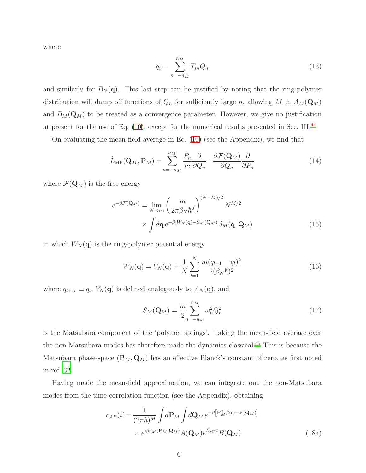where

$$
\tilde{q}_i = \sum_{n=-n_M}^{n_M} T_{in} Q_n \tag{13}
$$

and similarly for  $B_N(q)$ . This last step can be justified by noting that the ring-polymer distribution will damp off functions of  $Q_n$  for sufficiently large n, allowing M in  $A_M(\mathbf{Q}_M)$ and  $B_M(\mathbf{Q}_M)$  to be treated as a convergence parameter. However, we give no justification at present for the use of Eq.  $(10)$ , except for the numerical results presented in Sec. III.<sup>[44](#page-20-19)</sup>

On evaluating the mean-field average in Eq. [\(10\)](#page-4-0) (see the Appendix), we find that

$$
\hat{L}_{\text{MF}}(\mathbf{Q}_M, \mathbf{P}_M) = \sum_{n=-n_M}^{n_M} \frac{P_n}{m} \frac{\partial}{\partial Q_n} - \frac{\partial \mathcal{F}(\mathbf{Q}_M)}{\partial Q_n} \frac{\partial}{\partial P_n}
$$
(14)

where  $\mathcal{F}(\mathbf{Q}_M)$  is the free energy

$$
e^{-\beta \mathcal{F}(\mathbf{Q}_M)} = \lim_{N \to \infty} \left(\frac{m}{2\pi \beta_N \hbar^2}\right)^{(N-M)/2} N^{M/2}
$$

$$
\times \int d\mathbf{q} \, e^{-\beta [W_N(\mathbf{q}) - S_M(\mathbf{Q}_M)]} \delta_M(\mathbf{q}, \mathbf{Q}_M)
$$
(15)

in which  $W_N(\mathbf{q})$  is the ring-polymer potential energy

$$
W_N(\mathbf{q}) = V_N(\mathbf{q}) + \frac{1}{N} \sum_{l=1}^{N} \frac{m(q_{l+1} - q_l)^2}{2(\beta_N \hbar)^2}
$$
(16)

where  $q_{l+N} \equiv q_l$ ,  $V_N(\mathbf{q})$  is defined analogously to  $A_N(\mathbf{q})$ , and

<span id="page-5-1"></span><span id="page-5-0"></span>
$$
S_M(\mathbf{Q}_M) = \frac{m}{2} \sum_{n=-n_M}^{n_M} \omega_n^2 Q_n^2 \tag{17}
$$

is the Matsubara component of the 'polymer springs'. Taking the mean-field average over the non-Matsubara modes has therefore made the dynamics classical.[45](#page-20-20) This is because the Matsubara phase-space  $(\mathbf{P}_M, \mathbf{Q}_M)$  has an effective Planck's constant of zero, as first noted in ref. [32.](#page-20-6)

Having made the mean-field approximation, we can integrate out the non-Matsubara modes from the time-correlation function (see the Appendix), obtaining

$$
c_{AB}(t) = \frac{1}{(2\pi\hbar)^M} \int d\mathbf{P}_M \int d\mathbf{Q}_M e^{-\beta \left[\mathbf{P}_M^2/2m + \mathcal{F}(\mathbf{Q}_M)\right]}
$$

$$
\times e^{i\beta\theta_M(\mathbf{P}_M, \mathbf{Q}_M)} A(\mathbf{Q}_M) e^{\hat{L}_{\text{MF}}t} B(\mathbf{Q}_M)
$$
(18a)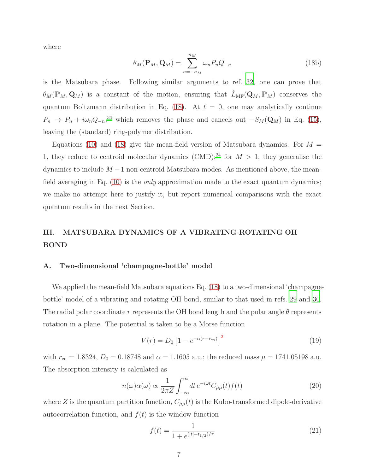where

$$
\theta_M(\mathbf{P}_M, \mathbf{Q}_M) = \sum_{n=-n_M}^{n_M} \omega_n P_n Q_{-n}
$$
\n(18b)

is the Matsubara phase. Following similar arguments to ref. [32,](#page-20-6) one can prove that  $\theta_M(\mathbf{P}_M, \mathbf{Q}_M)$  is a constant of the motion, ensuring that  $\hat{L}_{MF}(\mathbf{Q}_M, \mathbf{P}_M)$  conserves the quantum Boltzmann distribution in Eq. [\(18\)](#page-5-0). At  $t = 0$ , one may analytically continue  $P_n \to P_n + i\omega_n Q_{-n}$ <sup>[34](#page-20-8)</sup> which removes the phase and cancels out  $-S_M(\mathbf{Q}_M)$  in Eq. [\(15\)](#page-5-1), leaving the (standard) ring-polymer distribution.

Equations [\(10\)](#page-4-0) and [\(18\)](#page-5-0) give the mean-field version of Matsubara dynamics. For  $M =$ 1, they reduce to centroid molecular dynamics (CMD);<sup>[24](#page-20-0)</sup> for  $M > 1$ , they generalise the dynamics to include  $M-1$  non-centroid Matsubara modes. As mentioned above, the mean-field averaging in Eq. [\(10\)](#page-4-0) is the *only* approximation made to the exact quantum dynamics; we make no attempt here to justify it, but report numerical comparisons with the exact quantum results in the next Section.

## <span id="page-6-0"></span>III. MATSUBARA DYNAMICS OF A VIBRATING-ROTATING OH BOND

#### A. Two-dimensional 'champagne-bottle' model

We applied the mean-field Matsubara equations Eq. [\(18\)](#page-5-0) to a two-dimensional 'champagnebottle' model of a vibrating and rotating OH bond, similar to that used in refs. [29](#page-20-4) and [30.](#page-20-9) The radial polar coordinate r represents the OH bond length and the polar angle  $\theta$  represents rotation in a plane. The potential is taken to be a Morse function

<span id="page-6-2"></span>
$$
V(r) = D_0 \left[ 1 - e^{-\alpha(r - r_{\text{eq}})} \right]^2
$$
\n(19)

with  $r_{\text{eq}} = 1.8324, D_0 = 0.18748$  and  $\alpha = 1.1605$  a.u.; the reduced mass  $\mu = 1741.05198$  a.u. The absorption intensity is calculated as

$$
n(\omega)\alpha(\omega) \propto \frac{1}{2\pi Z} \int_{-\infty}^{\infty} dt \, e^{-i\omega t} C_{\mu\mu}(t) f(t) \tag{20}
$$

where Z is the quantum partition function,  $C_{\mu\mu}(t)$  is the Kubo-transformed dipole-derivative autocorrelation function, and  $f(t)$  is the window function

<span id="page-6-1"></span>
$$
f(t) = \frac{1}{1 + e^{(|t| - t_{1/2})/\tau}}
$$
\n(21)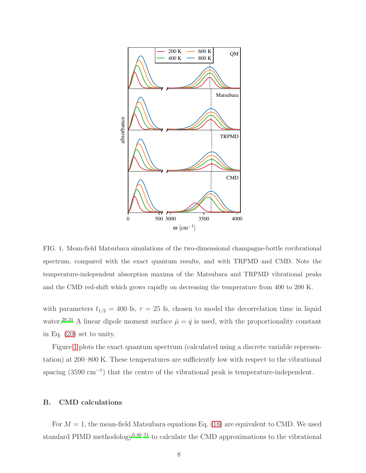

<span id="page-7-0"></span>FIG. 1. Mean-field Matsubara simulations of the two-dimensional champagne-bottle rovibrational spectrum, compared with the exact quantum results, and with TRPMD and CMD. Note the temperature-independent absorption maxima of the Matsubara and TRPMD vibrational peaks and the CMD red-shift which grows rapidly on decreasing the temperature from 400 to 200 K.

with parameters  $t_{1/2} = 400$  fs,  $\tau = 25$  fs, chosen to model the decorrelation time in liquid water.<sup>[20](#page-19-16)[,31](#page-20-5)</sup> A linear dipole moment surface  $\mu = \dot{q}$  is used, with the proportionality constant in Eq. [\(20\)](#page-6-1) set to unity.

Figure [1](#page-7-0) plots the exact quantum spectrum (calculated using a discrete variable representation) at 200–800 K. These temperatures are sufficiently low with respect to the vibrational spacing (3590 cm<sup>-1</sup>) that the centre of the vibrational peak is temperature-independent.

#### B. CMD calculations

For  $M = 1$ , the mean-field Matsubara equations Eq. [\(18\)](#page-5-0) are equivalent to CMD. We used standard PIMD methodology<sup>[6](#page-19-6)[,46](#page-20-21)[–51](#page-21-0)</sup> to calculate the CMD approximations to the vibrational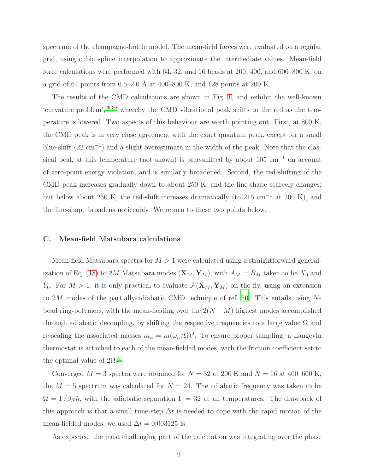spectrum of the champagne-bottle model. The mean-field forces were evaluated on a regular grid, using cubic spline interpolation to approximate the intermediate values. Mean-field force calculations were performed with 64, 32, and 16 beads at 200, 400, and 600–800 K, on a grid of 64 points from  $0.5-2.0$  Å at 400–800 K, and 128 points at 200 K.

The results of the CMD calculations are shown in Fig. [1,](#page-7-0) and exhibit the well-known 'curvature problem',<sup>[29](#page-20-4)[,30](#page-20-9)</sup> whereby the CMD vibrational peak shifts to the red as the temperature is lowered. Two aspects of this behaviour are worth pointing out. First, at 800 K, the CMD peak is in very close agreement with the exact quantum peak, except for a small blue-shift  $(22 \text{ cm}^{-1})$  and a slight overestimate in the width of the peak. Note that the classical peak at this temperature (not shown) is blue-shifted by about 105 cm<sup>−</sup><sup>1</sup> on account of zero-point energy violation, and is similarly broadened. Second, the red-shifting of the CMD peak increases gradually down to about 250 K, and the line-shape scarcely changes; but below about 250 K, the red-shift increases dramatically (to 215 cm<sup>-1</sup> at 200 K), and the line-shape broadens noticeably. We return to these two points below.

#### C. Mean-field Matsubara calculations

Mean-field Matsubara spectra for  $M > 1$  were calculated using a straightforward general-ization of Eq. [\(18\)](#page-5-0) to 2M Matsubara modes  $(\mathbf{X}_M, \mathbf{Y}_M)$ , with  $A_M = B_M$  taken to be  $\dot{X}_0$  and  $\dot{Y}_0$ . For  $M > 1$ , it is only practical to evaluate  $\mathcal{F}(\mathbf{X}_M, \mathbf{Y}_M)$  on the fly, using an extension to 2M modes of the partially-adiabatic CMD technique of ref. [50.](#page-21-1) This entails using Nbead ring-polymers, with the mean-fielding over the  $2(N-M)$  highest modes accomplished through adiabatic decoupling, by shifting the respective frequencies to a large value  $\Omega$  and re-scaling the associated masses  $m_n = m(\omega_n/\Omega)^2$ . To ensure proper sampling, a Langevin thermostat is attached to each of the mean-fielded modes, with the friction coefficient set to the optimal value of  $2\Omega^{51}$  $2\Omega^{51}$  $2\Omega^{51}$ 

Converged  $M = 3$  spectra were obtained for  $N = 32$  at 200 K and  $N = 16$  at 400–600 K; the  $M = 5$  spectrum was calculated for  $N = 24$ . The adiabatic frequency was taken to be  $\Omega = \Gamma/\beta_N \hbar$ , with the adiabatic separation  $\Gamma = 32$  at all temperatures. The drawback of this approach is that a small time-step  $\Delta t$  is needed to cope with the rapid motion of the mean-fielded modes; we used  $\Delta t = 0.003125$  fs.

As expected, the most challenging part of the calculation was integrating over the phase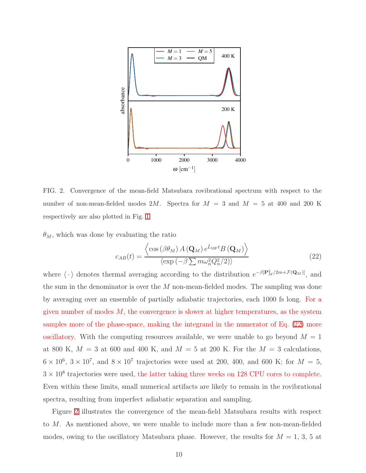

<span id="page-9-1"></span>FIG. 2. Convergence of the mean-field Matsubara rovibrational spectrum with respect to the number of non-mean-fielded modes  $2M$ . Spectra for  $M = 3$  and  $M = 5$  at 400 and 200 K respectively are also plotted in Fig. [1.](#page-7-0)

 $\theta_M$ , which was done by evaluating the ratio

<span id="page-9-0"></span>
$$
c_{AB}(t) = \frac{\left\langle \cos\left(\beta \theta_M\right) A\left(\mathbf{Q}_M\right) e^{\hat{L}_{\text{MF}}t} B\left(\mathbf{Q}_M\right) \right\rangle}{\left\langle \exp\left(-\beta \sum m \omega_n^2 Q_n^2 / 2\right) \right\rangle} \tag{22}
$$

where  $\langle \cdot \rangle$  denotes thermal averaging according to the distribution  $e^{-\beta [\mathbf{P}_{M}^{2}/2m+\mathcal{F}(\mathbf{Q}_{M})]}$ , and the sum in the denominator is over the M non-mean-fielded modes. The sampling was done by averaging over an ensemble of partially adiabatic trajectories, each 1000 fs long. For a given number of modes  $M$ , the convergence is slower at higher temperatures, as the system samples more of the phase-space, making the integrand in the numerator of Eq. [\(22\)](#page-9-0) more oscillatory. With the computing resources available, we were unable to go beyond  $M = 1$ at 800 K,  $M = 3$  at 600 and 400 K, and  $M = 5$  at 200 K. For the  $M = 3$  calculations,  $6 \times 10^6$ ,  $3 \times 10^7$ , and  $8 \times 10^7$  trajectories were used at 200, 400, and 600 K; for  $M = 5$ ,  $3 \times 10^8$  trajectories were used, the latter taking three weeks on 128 CPU cores to complete. Even within these limits, small numerical artifacts are likely to remain in the rovibrational spectra, resulting from imperfect adiabatic separation and sampling.

Figure [2](#page-9-1) illustrates the convergence of the mean-field Matsubara results with respect to M. As mentioned above, we were unable to include more than a few non-mean-fielded modes, owing to the oscillatory Matsubara phase. However, the results for  $M = 1, 3, 5$  at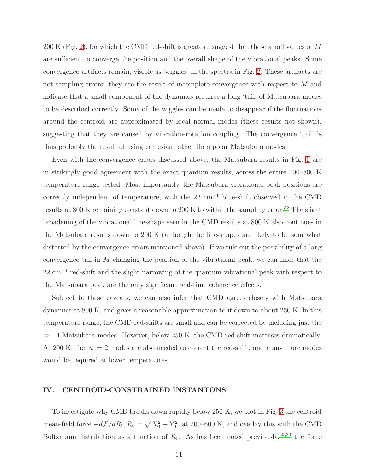200 K (Fig. [2\)](#page-9-1), for which the CMD red-shift is greatest, suggest that these small values of M are sufficient to converge the position and the overall shape of the vibrational peaks. Some convergence artifacts remain, visible as 'wiggles' in the spectra in Fig. [2.](#page-9-1) These artifacts are not sampling errors: they are the result of incomplete convergence with respect to M and indicate that a small component of the dynamics requires a long 'tail' of Matsubara modes to be described correctly. Some of the wiggles can be made to disappear if the fluctuations around the centroid are approximated by local normal modes (these results not shown), suggesting that they are caused by vibration-rotation coupling. The convergence 'tail' is thus probably the result of using cartesian rather than polar Matsubara modes.

Even with the convergence errors discussed above, the Matsubara results in Fig. [1](#page-7-0) are in strikingly good agreement with the exact quantum results, across the entire 200–800 K temperature-range tested. Most importantly, the Matsubara vibrational peak positions are correctly independent of temperature, with the  $22 \text{ cm}^{-1}$  blue-shift observed in the CMD results at 800 K remaining constant down to 200 K to within the sampling error.<sup>[52](#page-21-2)</sup> The slight broadening of the vibrational line-shape seen in the CMD results at 800 K also continues in the Matsubara results down to 200 K (although the line-shapes are likely to be somewhat distorted by the convergence errors mentioned above). If we rule out the possibility of a long convergence tail in M changing the position of the vibrational peak, we can infer that the 22 cm<sup>-1</sup> red-shift and the slight narrowing of the quantum vibrational peak with respect to the Matsubara peak are the only significant real-time coherence effects.

Subject to these caveats, we can also infer that CMD agrees closely with Matsubara dynamics at 800 K, and gives a reasonable approximation to it down to about 250 K. In this temperature range, the CMD red-shifts are small and can be corrected by including just the  $|n|=1$  Matsubara modes. However, below 250 K, the CMD red-shift increases dramatically. At 200 K, the  $|n|=2$  modes are also needed to correct the red-shift, and many more modes would be required at lower temperatures.

## <span id="page-10-0"></span>IV. CENTROID-CONSTRAINED INSTANTONS

To investigate why CMD breaks down rapidly below 250 K, we plot in Fig. [3](#page-11-0) the centroid mean-field force  $-d\mathcal{F}/dR_0$ ,  $R_0 = \sqrt{X_0^2 + Y_0^2}$ , at 200–600 K, and overlay this with the CMD Boltzmann distribution as a function of  $R_0$ . As has been noted previously,<sup>[29](#page-20-4)[,30](#page-20-9)</sup> the force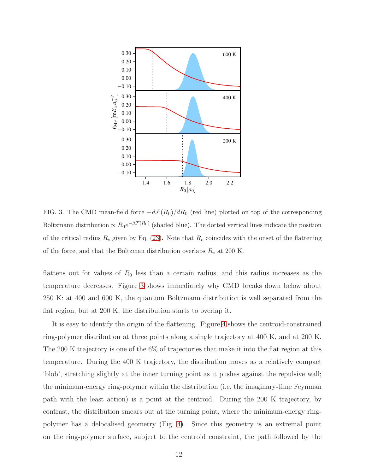

<span id="page-11-0"></span>FIG. 3. The CMD mean-field force  $-d\mathcal{F}(R_0)/dR_0$  (red line) plotted on top of the corresponding Boltzmann distribution  $\propto R_0 e^{-\beta \mathcal{F}(R_0)}$  (shaded blue). The dotted vertical lines indicate the position of the critical radius  $R_c$  given by Eq. [\(23\)](#page-12-0). Note that  $R_c$  coincides with the onset of the flattening of the force, and that the Boltzman distribution overlaps  $R_c$  at 200 K.

flattens out for values of  $R_0$  less than a certain radius, and this radius increases as the temperature decreases. Figure [3](#page-11-0) shows immediately why CMD breaks down below about 250 K: at 400 and 600 K, the quantum Boltzmann distribution is well separated from the flat region, but at 200 K, the distribution starts to overlap it.

It is easy to identify the origin of the flattening. Figure [4](#page-12-1) shows the centroid-constrained ring-polymer distribution at three points along a single trajectory at 400 K, and at 200 K. The 200 K trajectory is one of the 6% of trajectories that make it into the flat region at this temperature. During the 400 K trajectory, the distribution moves as a relatively compact 'blob', stretching slightly at the inner turning point as it pushes against the repulsive wall; the minimum-energy ring-polymer within the distribution (i.e. the imaginary-time Feynman path with the least action) is a point at the centroid. During the 200 K trajectory, by contrast, the distribution smears out at the turning point, where the minimum-energy ringpolymer has a delocalised geometry (Fig. [4\)](#page-12-1). Since this geometry is an extremal point on the ring-polymer surface, subject to the centroid constraint, the path followed by the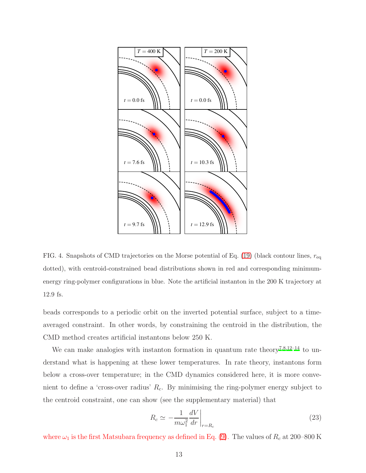

<span id="page-12-1"></span>FIG. 4. Snapshots of CMD trajectories on the Morse potential of Eq. [\(19\)](#page-6-2) (black contour lines,  $r_{\text{eq}}$ dotted), with centroid-constrained bead distributions shown in red and corresponding minimumenergy ring-polymer configurations in blue. Note the artificial instanton in the 200 K trajectory at 12.9 fs.

beads corresponds to a periodic orbit on the inverted potential surface, subject to a timeaveraged constraint. In other words, by constraining the centroid in the distribution, the CMD method creates artificial instantons below 250 K.

We can make analogies with instanton formation in quantum rate theory<sup>[7](#page-19-2)[,8](#page-19-3)[,12](#page-19-14)[–14](#page-19-5)</sup> to understand what is happening at these lower temperatures. In rate theory, instantons form below a cross-over temperature; in the CMD dynamics considered here, it is more convenient to define a 'cross-over radius'  $R_c$ . By minimising the ring-polymer energy subject to the centroid constraint, one can show (see the supplementary material) that

<span id="page-12-0"></span>
$$
R_c \simeq -\frac{1}{m\omega_1^2} \frac{dV}{dr}\bigg|_{r=R_c} \tag{23}
$$

where  $\omega_1$  is the first Matsubara frequency as defined in Eq. [\(9\)](#page-4-1). The values of  $R_c$  at 200–800 K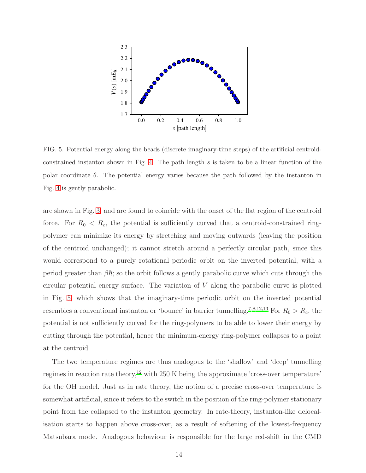

<span id="page-13-0"></span>FIG. 5. Potential energy along the beads (discrete imaginary-time steps) of the artificial centroidconstrained instanton shown in Fig. [4.](#page-12-1) The path length s is taken to be a linear function of the polar coordinate  $\theta$ . The potential energy varies because the path followed by the instanton in Fig. [4](#page-12-1) is gently parabolic.

are shown in Fig. [3,](#page-11-0) and are found to coincide with the onset of the flat region of the centroid force. For  $R_0 < R_c$ , the potential is sufficiently curved that a centroid-constrained ringpolymer can minimize its energy by stretching and moving outwards (leaving the position of the centroid unchanged); it cannot stretch around a perfectly circular path, since this would correspond to a purely rotational periodic orbit on the inverted potential, with a period greater than  $\beta \hbar$ ; so the orbit follows a gently parabolic curve which cuts through the circular potential energy surface. The variation of V along the parabolic curve is plotted in Fig. [5,](#page-13-0) which shows that the imaginary-time periodic orbit on the inverted potential resembles a conventional instanton or 'bounce' in barrier tunnelling.<sup>[7](#page-19-2)[,8](#page-19-3)[,12](#page-19-14)[,13](#page-19-17)</sup> For  $R_0 > R_c$ , the potential is not sufficiently curved for the ring-polymers to be able to lower their energy by cutting through the potential, hence the minimum-energy ring-polymer collapses to a point at the centroid.

The two temperature regimes are thus analogous to the 'shallow' and 'deep' tunnelling regimes in reaction rate theory,<sup>[12](#page-19-14)</sup> with 250 K being the approximate 'cross-over temperature' for the OH model. Just as in rate theory, the notion of a precise cross-over temperature is somewhat artificial, since it refers to the switch in the position of the ring-polymer stationary point from the collapsed to the instanton geometry. In rate-theory, instanton-like delocalisation starts to happen above cross-over, as a result of softening of the lowest-frequency Matsubara mode. Analogous behaviour is responsible for the large red-shift in the CMD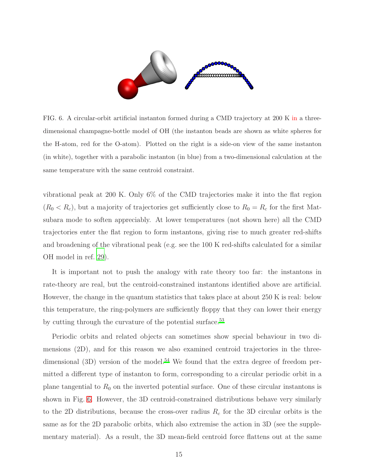

<span id="page-14-0"></span>FIG. 6. A circular-orbit artificial instanton formed during a CMD trajectory at 200 K in a threedimensional champagne-bottle model of OH (the instanton beads are shown as white spheres for the H-atom, red for the O-atom). Plotted on the right is a side-on view of the same instanton (in white), together with a parabolic instanton (in blue) from a two-dimensional calculation at the same temperature with the same centroid constraint.

vibrational peak at 200 K. Only 6% of the CMD trajectories make it into the flat region  $(R_0 < R_c)$ , but a majority of trajectories get sufficiently close to  $R_0 = R_c$  for the first Matsubara mode to soften appreciably. At lower temperatures (not shown here) all the CMD trajectories enter the flat region to form instantons, giving rise to much greater red-shifts and broadening of the vibrational peak (e.g. see the 100 K red-shifts calculated for a similar OH model in ref. [29](#page-20-4)).

It is important not to push the analogy with rate theory too far: the instantons in rate-theory are real, but the centroid-constrained instantons identified above are artificial. However, the change in the quantum statistics that takes place at about 250 K is real: below this temperature, the ring-polymers are sufficiently floppy that they can lower their energy by cutting through the curvature of the potential surface.<sup>[53](#page-21-3)</sup>

Periodic orbits and related objects can sometimes show special behaviour in two dimensions (2D), and for this reason we also examined centroid trajectories in the three-dimensional (3D) version of the model.<sup>[54](#page-21-4)</sup> We found that the extra degree of freedom permitted a different type of instanton to form, corresponding to a circular periodic orbit in a plane tangential to  $R_0$  on the inverted potential surface. One of these circular instantons is shown in Fig. [6.](#page-14-0) However, the 3D centroid-constrained distributions behave very similarly to the 2D distributions, because the cross-over radius  $R_c$  for the 3D circular orbits is the same as for the 2D parabolic orbits, which also extremise the action in 3D (see the supplementary material). As a result, the 3D mean-field centroid force flattens out at the same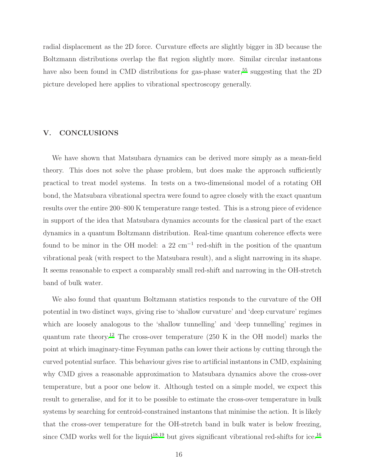radial displacement as the 2D force. Curvature effects are slightly bigger in 3D because the Boltzmann distributions overlap the flat region slightly more. Similar circular instantons have also been found in CMD distributions for gas-phase water,<sup>[55](#page-21-5)</sup> suggesting that the  $2D$ picture developed here applies to vibrational spectroscopy generally.

## <span id="page-15-0"></span>V. CONCLUSIONS

We have shown that Matsubara dynamics can be derived more simply as a mean-field theory. This does not solve the phase problem, but does make the approach sufficiently practical to treat model systems. In tests on a two-dimensional model of a rotating OH bond, the Matsubara vibrational spectra were found to agree closely with the exact quantum results over the entire 200–800 K temperature range tested. This is a strong piece of evidence in support of the idea that Matsubara dynamics accounts for the classical part of the exact dynamics in a quantum Boltzmann distribution. Real-time quantum coherence effects were found to be minor in the OH model: a  $22 \text{ cm}^{-1}$  red-shift in the position of the quantum vibrational peak (with respect to the Matsubara result), and a slight narrowing in its shape. It seems reasonable to expect a comparably small red-shift and narrowing in the OH-stretch band of bulk water.

We also found that quantum Boltzmann statistics responds to the curvature of the OH potential in two distinct ways, giving rise to 'shallow curvature' and 'deep curvature' regimes which are loosely analogous to the 'shallow tunnelling' and 'deep tunnelling' regimes in quantum rate theory.<sup>[12](#page-19-14)</sup> The cross-over temperature  $(250 \text{ K}$  in the OH model) marks the point at which imaginary-time Feynman paths can lower their actions by cutting through the curved potential surface. This behaviour gives rise to artificial instantons in CMD, explaining why CMD gives a reasonable approximation to Matsubara dynamics above the cross-over temperature, but a poor one below it. Although tested on a simple model, we expect this result to generalise, and for it to be possible to estimate the cross-over temperature in bulk systems by searching for centroid-constrained instantons that minimise the action. It is likely that the cross-over temperature for the OH-stretch band in bulk water is below freezing, since CMD works well for the liquid<sup>[18](#page-19-15)[,19](#page-19-13)</sup> but gives significant vibrational red-shifts for ice.<sup>[16](#page-19-12)</sup>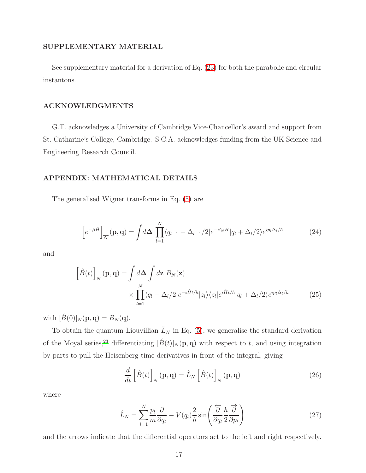## SUPPLEMENTARY MATERIAL

See supplementary material for a derivation of Eq. [\(23\)](#page-12-0) for both the parabolic and circular instantons.

#### ACKNOWLEDGMENTS

G.T. acknowledges a University of Cambridge Vice-Chancellor's award and support from St. Catharine's College, Cambridge. S.C.A. acknowledges funding from the UK Science and Engineering Research Council.

#### APPENDIX: MATHEMATICAL DETAILS

The generalised Wigner transforms in Eq. [\(5\)](#page-3-0) are

$$
\[e^{-\beta \hat{H}}\]_{\overline{N}}(\mathbf{p}, \mathbf{q}) = \int d\mathbf{\Delta} \prod_{l=1}^{N} \langle q_{l-1} - \Delta_{l-1}/2 | e^{-\beta_N \hat{H}} | q_l + \Delta_l/2 \rangle e^{ip_l \Delta_l/\hbar} \tag{24}
$$

and

$$
\left[\hat{B}(t)\right]_N(\mathbf{p}, \mathbf{q}) = \int d\mathbf{\Delta} \int d\mathbf{z} \ B_N(\mathbf{z})
$$

$$
\times \prod_{l=1}^N \langle q_l - \Delta_l/2|e^{-i\hat{H}t/\hbar}|z_l\rangle \langle z_l|e^{i\hat{H}t/\hbar}|q_l + \Delta_l/2\rangle e^{ip_l\Delta_l/\hbar}
$$
(25)

with  $[\hat{B}(0)]_N(\mathbf{p}, \mathbf{q}) = B_N(\mathbf{q}).$ 

To obtain the quantum Liouvillian  $\hat{L}_N$  in Eq. [\(5\)](#page-3-0), we generalise the standard derivation of the Moyal series,<sup>[23](#page-19-10)</sup> differentiating  $[\hat{B}(t)]_N(\mathbf{p}, \mathbf{q})$  with respect to t, and using integration by parts to pull the Heisenberg time-derivatives in front of the integral, giving

$$
\frac{d}{dt}\left[\hat{B}(t)\right]_N(\mathbf{p},\mathbf{q}) = \hat{L}_N\left[\hat{B}(t)\right]_N(\mathbf{p},\mathbf{q})\tag{26}
$$

where

$$
\hat{L}_N = \sum_{l=1}^N \frac{p_l}{m} \frac{\partial}{\partial q_l} - V(q_l) \frac{2}{\hbar} \sin\left(\frac{\partial}{\partial q_l} \frac{\hbar}{2} \frac{\partial}{\partial p_l}\right) \tag{27}
$$

and the arrows indicate that the differential operators act to the left and right respectively.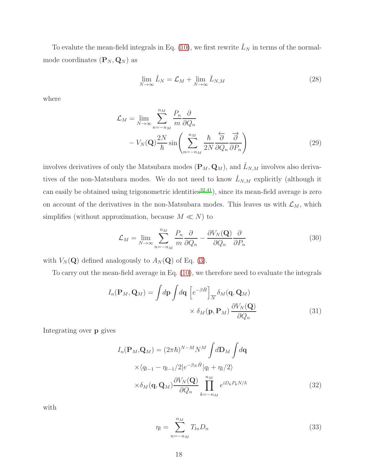To evalute the mean-field integrals in Eq. [\(10\)](#page-4-0), we first rewrite  $\hat{L}_N$  in terms of the normalmode coordinates  $(\mathbf{P}_N, \mathbf{Q}_N)$  as

$$
\lim_{N \to \infty} \hat{L}_N = \mathcal{L}_M + \lim_{N \to \infty} \hat{L}_{N,M}
$$
\n(28)

where

$$
\mathcal{L}_M = \lim_{N \to \infty} \sum_{n=-n_M}^{n_M} \frac{P_n}{m} \frac{\partial}{\partial Q_n} \n- V_N(\mathbf{Q}) \frac{2N}{\hbar} \sin\left(\sum_{n=-n_M}^{n_M} \frac{\hbar}{2N} \frac{\partial}{\partial Q_n} \frac{\partial}{\partial P_n}\right)
$$
\n(29)

involves derivatives of only the Matsubara modes  $(\mathbf{P}_M, \mathbf{Q}_M)$ , and  $\hat{L}_{N,M}$  involves also derivatives of the non-Matsubara modes. We do not need to know  $\hat{L}_{N,M}$  explicitly (although it can easily be obtained using trigonometric identities<sup>[32](#page-20-6)[,41](#page-20-16)</sup>), since its mean-field average is zero on account of the derivatives in the non-Matsubara modes. This leaves us with  $\mathcal{L}_M$ , which simplifies (without approximation, because  $M \ll N$ ) to

$$
\mathcal{L}_M = \lim_{N \to \infty} \sum_{n=-n_M}^{n_M} \frac{P_n}{m} \frac{\partial}{\partial Q_n} - \frac{\partial V_N(\mathbf{Q})}{\partial Q_n} \frac{\partial}{\partial P_n}
$$
(30)

with  $V_N(\mathbf{Q})$  defined analogously to  $A_N(\mathbf{Q})$  of Eq. [\(3\)](#page-3-2).

To carry out the mean-field average in Eq. [\(10\)](#page-4-0), we therefore need to evaluate the integrals

$$
I_n(\mathbf{P}_M, \mathbf{Q}_M) = \int d\mathbf{p} \int d\mathbf{q} \left[ e^{-\beta \hat{H}} \right]_{\overline{N}} \delta_M(\mathbf{q}, \mathbf{Q}_M)
$$

$$
\times \delta_M(\mathbf{p}, \mathbf{P}_M) \frac{\partial V_N(\mathbf{Q})}{\partial Q_n}
$$
(31)

Integrating over p gives

$$
I_n(\mathbf{P}_M, \mathbf{Q}_M) = (2\pi\hbar)^{N-M} N^M \int d\mathbf{D}_M \int d\mathbf{q}
$$
  
 
$$
\times \langle q_{l-1} - \eta_{l-1}/2 | e^{-\beta_N \hat{H}} | q_l + \eta_l / 2 \rangle
$$
  
 
$$
\times \delta_M(\mathbf{q}, \mathbf{Q}_M) \frac{\partial V_N(\mathbf{Q})}{\partial Q_n} \prod_{k=-n_M}^{n_M} e^{iD_k P_k N/\hbar}
$$
(32)

with

$$
\eta_l = \sum_{n=-n_M}^{n_M} T_{ln} D_n \tag{33}
$$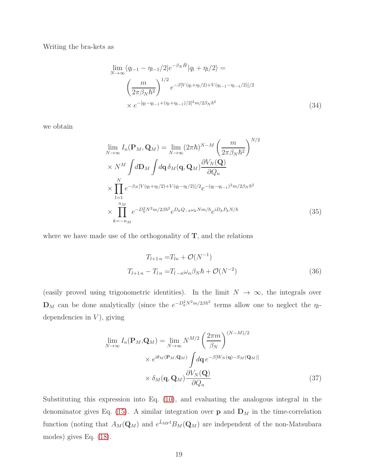Writing the bra-kets as

$$
\lim_{N \to \infty} \langle q_{l-1} - \eta_{l-1} / 2 | e^{-\beta_N \hat{H}} | q_l + \eta_l / 2 \rangle =
$$
\n
$$
\left( \frac{m}{2\pi \beta_N \hbar^2} \right)^{1/2} e^{-\beta [V(q_l + \eta_l / 2) + V(q_{l-1} - \eta_{l-1} / 2)]/2}
$$
\n
$$
\times e^{-[q_l - q_{l-1} + (\eta_l + \eta_{l-1}) / 2]^2 m / 2\beta_N \hbar^2}
$$
\n(34)

we obtain

$$
\lim_{N \to \infty} I_n(\mathbf{P}_M, \mathbf{Q}_M) = \lim_{N \to \infty} (2\pi \hbar)^{N-M} \left(\frac{m}{2\pi \beta_N \hbar^2}\right)^{N/2} \times N^M \int d\mathbf{D}_M \int d\mathbf{q} \, \delta_M(\mathbf{q}, \mathbf{Q}_M) \frac{\partial V_N(\mathbf{Q})}{\partial Q_n} \times \prod_{l=1}^N e^{-\beta_N [V(q_l + \eta_l/2) + V(q_l - \eta_l/2)]/2} e^{-(q_l - q_{l-1})^2 m/2\beta_N \hbar^2} \times \prod_{k=-n_M}^{n_M} e^{-D_k^2 N^2 m/2\beta \hbar^2} e^{D_k Q_{-k} \omega_k N m/\hbar} e^{iD_k P_k N/\hbar}
$$
\n(35)

where we have made use of the orthogonality of  $T$ , and the relations

$$
T_{l+1 n} = T_{l n} + \mathcal{O}(N^{-1})
$$
  
\n
$$
T_{l+1 n} - T_{l n} = T_{l - n} \omega_n \beta_N \hbar + \mathcal{O}(N^{-2})
$$
\n(36)

(easily proved using trigonometric identities). In the limit  $N \to \infty$ , the integrals over  $\mathbf{D}_M$  can be done analytically (since the  $e^{-D_k^2 N^2 m/2\beta \hbar^2}$  terms allow one to neglect the  $\eta_l$ dependencies in  $V$ ), giving

$$
\lim_{N \to \infty} I_n(\mathbf{P}_M, \mathbf{Q}_M) = \lim_{N \to \infty} N^{M/2} \left(\frac{2\pi m}{\beta_N}\right)^{(N-M)/2}
$$
\n
$$
\times e^{i\theta_M(\mathbf{P}_M, \mathbf{Q}_M)} \int d\mathbf{q} \, e^{-\beta[W_N(\mathbf{q}) - S_M(\mathbf{Q}_M)]}
$$
\n
$$
\times \delta_M(\mathbf{q}, \mathbf{Q}_M) \frac{\partial V_N(\mathbf{Q})}{\partial Q_n}
$$
\n(37)

Substituting this expression into Eq. [\(10\)](#page-4-0), and evaluating the analogous integral in the denominator gives Eq. [\(15\)](#page-5-1). A similar integration over  $\bf{p}$  and  $\bf{D}_M$  in the time-correlation function (noting that  $A_M(\mathbf{Q}_M)$  and  $e^{\hat{L}_{\text{MF}}t}B_M(\mathbf{Q}_M)$  are independent of the non-Matsubara modes) gives Eq. [\(18\)](#page-5-0).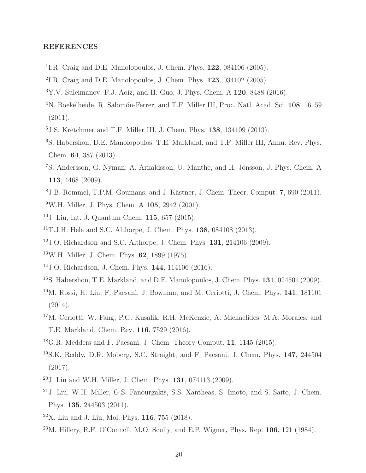## REFERENCES

- <span id="page-19-0"></span><sup>1</sup>I.R. Craig and D.E. Manolopoulos, J. Chem. Phys. **122**, 084106 (2005).
- <sup>2</sup>I.R. Craig and D.E. Manolopoulos, J. Chem. Phys.  $123$ ,  $034102$  (2005).
- <span id="page-19-11"></span> $3Y.V.$  Suleimanov, F.J. Aoiz, and H. Guo, J. Phys. Chem. A 120, 8488 (2016).
- <sup>4</sup>N. Boekelheide, R. Salomón-Ferrer, and T.F. Miller III, Proc. Natl. Acad. Sci. 108, 16159 (2011).
- <sup>5</sup>J.S. Kretchmer and T.F. Miller III, J. Chem. Phys. 138, 134109 (2013).
- <span id="page-19-6"></span><sup>6</sup>S. Habershon, D.E. Manolopoulos, T.E. Markland, and T.F. Miller III, Annu. Rev. Phys. Chem. 64, 387 (2013).
- <span id="page-19-2"></span><sup>7</sup>S. Andersson, G. Nyman, A. Arnaldsson, U. Manthe, and H. Jónsson, J. Phys. Chem. A 113, 4468 (2009).
- <span id="page-19-9"></span><span id="page-19-3"></span> $8J.B.$  Rommel, T.P.M. Goumans, and J. Kästner, J. Chem. Theor. Comput. 7, 690 (2011). <sup>9</sup>W.H. Miller, J. Phys. Chem. A 105, 2942 (2001).
- <span id="page-19-1"></span><sup>10</sup>J. Liu, Int. J. Quantum Chem. 115, 657 (2015).
- <span id="page-19-4"></span><sup>11</sup>T.J.H. Hele and S.C. Althorpe, J. Chem. Phys. 138, 084108 (2013).
- <span id="page-19-14"></span> $12$  J.O. Richardson and S.C. Althorpe, J. Chem. Phys. **131**, 214106 (2009).
- <span id="page-19-17"></span><sup>13</sup>W.H. Miller, J. Chem. Phys. 62, 1899 (1975).
- <span id="page-19-5"></span><sup>14</sup>J.O. Richardson, J. Chem. Phys. 144, 114106 (2016).
- <span id="page-19-7"></span><sup>15</sup>S. Habershon, T.E. Markland, and D.E. Manolopoulos, J. Chem. Phys. **131**, 024501 (2009).
- <span id="page-19-12"></span><sup>16</sup>M. Rossi, H. Liu, F. Paesani, J. Bowman, and M. Ceriotti, J. Chem. Phys. 141, 181101 (2014).
- <sup>17</sup>M. Ceriotti, W. Fang, P.G. Kusalik, R.H. McKenzie, A. Michaelides, M.A. Morales, and T.E. Markland, Chem. Rev. 116, 7529 (2016).
- <span id="page-19-15"></span> $^{18}$ G.R. Medders and F. Paesani, J. Chem. Theory Comput. 11, 1145 (2015).
- <span id="page-19-13"></span><sup>19</sup>S.K. Reddy, D.R. Moberg, S.C. Straight, and F. Paesani, J. Chem. Phys. 147, 244504 (2017).
- <span id="page-19-16"></span><sup>20</sup>J. Liu and W.H. Miller, J. Chem. Phys. 131, 074113 (2009).
- <sup>21</sup>J. Liu, W.H. Miller, G.S. Fanourgakis, S.S. Xantheas, S. Imoto, and S. Saito, J. Chem. Phys. 135, 244503 (2011).
- <span id="page-19-8"></span> $22X$ . Liu and J. Liu, Mol. Phys. 116, 755 (2018).
- <span id="page-19-10"></span> $^{23}$ M. Hillery, R.F. O'Connell, M.O. Scully, and E.P. Wigner, Phys. Rep. 106, 121 (1984).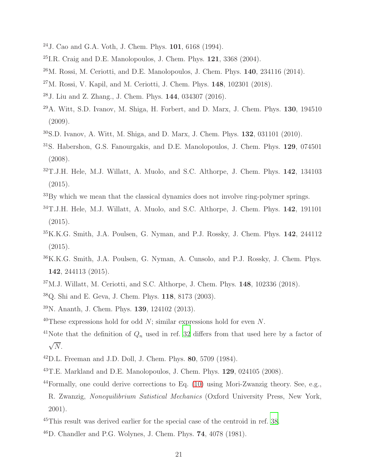- <span id="page-20-0"></span>J. Cao and G.A. Voth, J. Chem. Phys. 101, 6168 (1994).
- <span id="page-20-2"></span> $^{25}$ I.R. Craig and D.E. Manolopoulos, J. Chem. Phys.  $121$ ,  $3368$  (2004).
- $^{26}$ M. Rossi, M. Ceriotti, and D.E. Manolopoulos, J. Chem. Phys.  $140$ ,  $234116$   $(2014)$ .
- <span id="page-20-3"></span>M. Rossi, V. Kapil, and M. Ceriotti, J. Chem. Phys.  $148$ ,  $102301$  (2018).
- <span id="page-20-1"></span>J. Liu and Z. Zhang., J. Chem. Phys. 144, 034307 (2016).
- <span id="page-20-4"></span>A. Witt, S.D. Ivanov, M. Shiga, H. Forbert, and D. Marx, J. Chem. Phys. 130, 194510 (2009).
- <span id="page-20-9"></span>S.D. Ivanov, A. Witt, M. Shiga, and D. Marx, J. Chem. Phys. **132**, 031101 (2010).
- <span id="page-20-5"></span>S. Habershon, G.S. Fanourgakis, and D.E. Manolopoulos, J. Chem. Phys. 129, 074501 (2008).
- <span id="page-20-6"></span>T.J.H. Hele, M.J. Willatt, A. Muolo, and S.C. Althorpe, J. Chem. Phys. 142, 134103 (2015).
- <span id="page-20-7"></span>By which we mean that the classical dynamics does not involve ring-polymer springs.
- <span id="page-20-8"></span>T.J.H. Hele, M.J. Willatt, A. Muolo, and S.C. Althorpe, J. Chem. Phys. 142, 191101 (2015).
- <span id="page-20-10"></span>K.K.G. Smith, J.A. Poulsen, G. Nyman, and P.J. Rossky, J. Chem. Phys. 142, 244112 (2015).
- <span id="page-20-11"></span>K.K.G. Smith, J.A. Poulsen, G. Nyman, A. Cunsolo, and P.J. Rossky, J. Chem. Phys. , 244113 (2015).
- <span id="page-20-12"></span>M.J. Willatt, M. Ceriotti, and S.C. Althorpe, J. Chem. Phys.  $148$ ,  $102336$   $(2018)$ .
- <span id="page-20-13"></span>Q. Shi and E. Geva, J. Chem. Phys. 118, 8173 (2003).
- <span id="page-20-14"></span>N. Ananth, J. Chem. Phys. 139, 124102 (2013).
- <span id="page-20-15"></span><sup>40</sup>These expressions hold for odd N; similar expressions hold for even N.
- <span id="page-20-16"></span><sup>41</sup>Note that the definition of  $Q_n$  used in ref. [32](#page-20-6) differs from that used here by a factor of  $\sqrt{N}$ .
- <span id="page-20-17"></span>D.L. Freeman and J.D. Doll, J. Chem. Phys. 80, 5709 (1984).
- <span id="page-20-18"></span>T.E. Markland and D.E. Manolopoulos, J. Chem. Phys.  $129, 024105$  (2008).
- <span id="page-20-19"></span>Formally, one could derive corrections to Eq. [\(10\)](#page-4-0) using Mori-Zwanzig theory. See, e.g., R. Zwanzig, Nonequilibrium Satistical Mechanics (Oxford University Press, New York, 2001).
- <span id="page-20-20"></span>This result was derived earlier for the special case of the centroid in ref. [38](#page-20-13).
- <span id="page-20-21"></span>D. Chandler and P.G. Wolynes, J. Chem. Phys. 74, 4078 (1981).